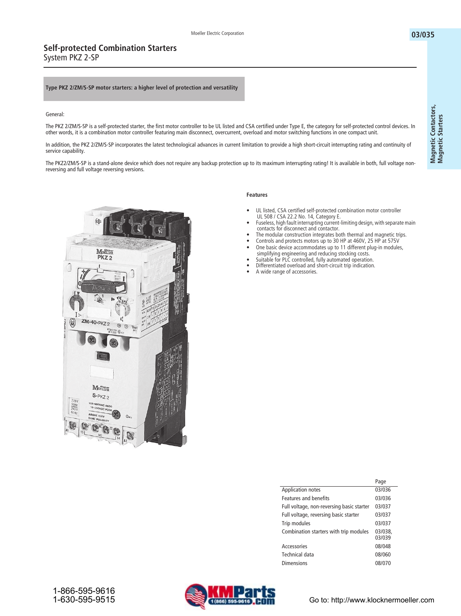#### **Type PKZ 2/ZM/S-SP motor starters: a higher level of protection and versatility**

#### General:

The PKZ 2/ZM/S-SP is a self-protected starter, the first motor controller to be UL listed and CSA certified under Type E, the category for self-protected control devices. In other words, it is a combination motor controller featuring main disconnect, overcurrent, overload and motor switching functions in one compact unit.

In addition, the PKZ 2/ZM/S-SP incorporates the latest technological advances in current limitation to provide a high short-circuit interrupting rating and continuity of service capability.

The PKZ2/ZM/S-SP is a stand-alone device which does not require any backup protection up to its maximum interrupting rating! It is available in both, full voltage nonreversing and full voltage reversing versions.



### **Features**

- **UL listed, CSA certified self-protected combination motor controller UL 508 / CSA 22.2 No. 14, Category E.**
- **Fuseless, high fault interrupting current-limiting design, with separate main contacts for disconnect and contactor.**
- **The modular construction integrates both thermal and magnetic trips.**
- **Controls and protects motors up to 30 HP at 460V, 25 HP at 575V • One basic device accommodates up to 11 different plug-in modules,**
- **simplifying engineering and reducing stocking costs. • Suitable for PLC controlled, fully automated operation.**
- **Differentiated overload and short-circuit trip indication.**
- **A wide range of accessories.**

|                                           | Page              |
|-------------------------------------------|-------------------|
| <b>Application notes</b>                  | 03/036            |
| <b>Features and benefits</b>              | 03/036            |
| Full voltage, non-reversing basic starter | 03/037            |
| Full voltage, reversing basic starter     | 03/037            |
| Trip modules                              | 03/037            |
| Combination starters with trip modules    | 03/038.<br>03/039 |
| Accessories                               | 08/048            |
| Technical data                            | 08/060            |
| Dimensions                                | 08/070            |

**03/035**

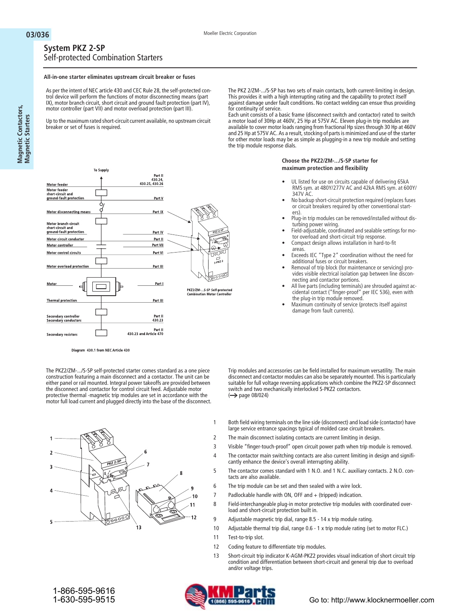$\overline{\mathcal{L}}$ 

PKZ2/ZM-...S-SP Self-protected<br>Combination Motor Controller

| <b>System PKZ 2-SP</b> |                                     |  |
|------------------------|-------------------------------------|--|
|                        | Self-protected Combination Starters |  |

To Supply

#### **All-in-one starter eliminates upstream circuit breaker or fuses**

As per the intent of NEC article 430 and CEC Rule 28, the self-protected control device will perform the functions of motor disconnecting means (part IX), motor branch circuit, short circuit and ground fault protection (part IV), motor controller (part VII) and motor overload protection (part III).

Up to the maximum rated short-circuit current available, no upstream circuit breaker or set of fuses is required.

> Part I ا : 1 an c<br>,430.24<br>430.25. 430.26

> > Part V

Part IX

Part IV

Part II

Part VII

Part VI

Part III

Part I

Part III

Part II<br>430.23

Part II<br>430.23 and Article 470

The PKZ 2/ZM-.../S-SP has two sets of main contacts, both current-limiting in design. This provides it with a high interrupting rating and the capability to protect itself against damage under fault conditions. No contact welding can ensue thus providing for continuity of service.

Each unit consists of a basic frame (disconnect switch and contactor) rated to switch a motor load of 30Hp at 460V, 25 Hp at 575V AC. Eleven plug-in trip modules are available to cover motor loads ranging from fractional Hp sizes through 30 Hp at 460V and 25 Hp at 575V AC. As a result, stocking of parts is minimized and use of the starter for other motor loads may be as simple as plugging-in a new trip module and setting the trip module response dials.

#### **Choose the PKZ2/ZM-.../S-SP starter for maximum protection and flexibility**

- **UL listed for use on circuits capable of delivering 65kA RMS sym. at 480Y/277V AC and 42kA RMS sym. at 600Y/ 347V AC.**
- **No backup short-circuit protection required (replaces fuses or circuit breakers required by other conventional starters).**
- **Plug-in trip modules can be removed/installed without disturbing power wiring.**
- **Field-adjustable, coordinated and sealable settings for motor overload and short-circuit trip response.**
- **Compact design allows installation in hard-to-fit**
- **areas. • Exceeds IEC "Type 2" coordination without the need for additional fuses or circuit breakers.**
- **Removal of trip block (for maintenance or servicing) provides visible electrical isolation gap between line disconnecting and contactor portions.**
- **All live parts (including terminals) are shrouded against accidental contact ("finger-proof" per IEC 536), even with the plug-in trip module removed.**
- **Maximum continuity of service (protects itself against damage from fault currents).**

Diagram 430.1 from NEC Article 430

The PKZ2/ZM-.../S-SP self-protected starter comes standard as a one piece construction featuring a main disconnect and a contactor. The unit can be either panel or rail mounted. Integral power takeoffs are provided between the disconnect and contactor for control circuit feed. Adjustable motor protective thermal -magnetic trip modules are set in accordance with the motor full load current and plugged directly into the base of the disconnect.



 $\leftrightarrow$  page 08/024)

Trip modules and accessories can be field installed for maximum versatility. The main disconnect and contactor modules can also be separately mounted. This is particularly suitable for full voltage reversing applications which combine the PKZ2-SP disconnect

Both field wiring terminals on the line side (disconnect) and load side (contactor) have large service entrance spacings typical of molded case circuit breakers.

The main disconnect isolating contacts are current limiting in design.

switch and two mechanically interlocked S-PKZ2 contactors.

- Visible "finger-touch-proof" open circuit power path when trip module is removed.
- The contactor main switching contacts are also current limiting in design and significantly enhance the device's overall interrupting ability.
- The contactor comes standard with 1 N.O. and 1 N.C. auxiliary contacts. 2 N.O. contacts are also available.
- The trip module can be set and then sealed with a wire lock.
- Padlockable handle with ON, OFF and + (tripped) indication.
- Field-interchangeable plug-in motor protective trip modules with coordinated overload and short-circuit protection built in.
- 9 Adjustable magnetic trip dial, range 8.5 - 14 x trip module rating.
- 10 Adjustable thermal trip dial, range 0.6 - 1 x trip module rating (set to motor FLC.)
- 11 Test-to-trip slot.
- 12 Coding feature to differentiate trip modules.
- 13 Short-circuit trip indicator K-AGM-PKZ2 provides visual indication of short circuit trip condition and differentiation between short-circuit and general trip due to overload and/or voltage trips.



Motor feeder Motor feeder<br>short-circuit and<br>ground-fault protection

Motor disconnecting means

Motor branch-circuit<br>short-circuit and<br>ground-fault protection

Motor circuit conductor

Motor control circuits

**Thermal protection** 

Secondary controller<br>Secondary conductors

Secondary resistors

Motor overload protection

Motor controller

Moto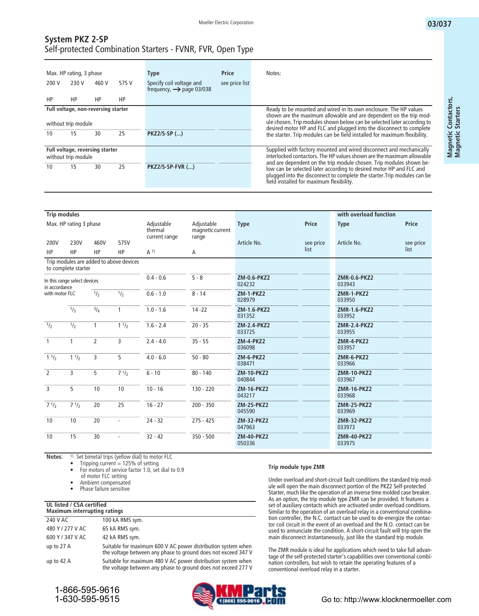## **System PKZ 2-SP** Self-protected Combination Starters - FVNR, FVR, Open Type

| 200 V                                                                              | Max. HP rating, 3 phase<br>230 V                             | 460 V | 575 V | <b>Type</b><br>Specify coil voltage and | <b>Price</b><br>see price list | Notes:                                                                                                                                                                                                                                                                                                                                                                                                             |
|------------------------------------------------------------------------------------|--------------------------------------------------------------|-------|-------|-----------------------------------------|--------------------------------|--------------------------------------------------------------------------------------------------------------------------------------------------------------------------------------------------------------------------------------------------------------------------------------------------------------------------------------------------------------------------------------------------------------------|
| HP                                                                                 | HP                                                           | HP    | HP    | frequency, $\rightarrow$ page 03/038    |                                |                                                                                                                                                                                                                                                                                                                                                                                                                    |
| Full voltage, non-reversing starter<br>without trip module<br>25<br>10<br>15<br>30 |                                                              |       |       | <b>PKZ2/S-SP ()</b>                     |                                | Ready to be mounted and wired in its own enclosure. The HP values<br>shown are the maximum allowable and are dependent on the trip mod-<br>ule chosen. Trip modules shown below can be selected later according to<br>desired motor HP and FLC and plugged into the disconnect to complete<br>the starter. Trip modules can be field installed for maximum flexibility.                                            |
| 10                                                                                 | Full voltage, reversing starter<br>without trip module<br>15 | 30    | 25    | <b>PKZ2/S-SP-FVR ()</b>                 |                                | Supplied with factory mounted and wired disconnect and mechanically<br>interlocked contactors. The HP values shown are the maximum allowable<br>and are dependent on the trip module chosen. Trip modules shown be-<br>low can be selected later according to desired motor HP and FLC and<br>plugged into the disconnect to complete the starter. Trip modules can be<br>field installed for maximum flexibility. |

| <b>Trip modules</b> |                              |                |                                         |                                        |                                         |                             |           | with overload function        |           |
|---------------------|------------------------------|----------------|-----------------------------------------|----------------------------------------|-----------------------------------------|-----------------------------|-----------|-------------------------------|-----------|
|                     | Max. HP rating 3 phase       |                |                                         | Adjustable<br>thermal<br>current range | Adjustable<br>magnetic current<br>range | <b>Type</b>                 | Price     | <b>Type</b>                   | Price     |
| 200V                | 230V                         | 460V           | 575V                                    |                                        |                                         | Article No.                 | see price |                               | see price |
| <b>HP</b>           | HP                           | <b>HP</b>      | HP                                      | A <sup>1</sup>                         | A                                       |                             | list      |                               | list      |
|                     | to complete starter          |                | Trip modules are added to above devices |                                        |                                         |                             |           |                               |           |
| in accordance       | In this range select devices |                |                                         | $0.4 - 0.6$                            | $5 - 8$                                 | ZM-0.6-PKZ2<br>024232       |           | <b>ZMR-0.6-PKZ2</b><br>033943 |           |
| with motor FLC      |                              | $\frac{1}{2}$  | 1/2                                     | $0.6 - 1.0$                            | $8 - 14$                                | <b>ZM-1-PKZ2</b><br>028979  |           | ZMR-1-PKZ2<br>033950          |           |
|                     | 1/3                          | 3/4            | $\mathbf{1}$                            | $1.0 - 1.6$                            | $14 - 22$                               | ZM-1.6-PKZ2<br>031352       |           | ZMR-1.6-PKZ2<br>033952        |           |
| $\frac{1}{2}$       | $\frac{1}{2}$                | $\mathbf{1}$   | $1 \frac{1}{2}$                         | $1.6 - 2.4$                            | $20 - 35$                               | ZM-2.4-PKZ2<br>033725       |           | ZMR-2.4-PKZ2<br>033955        |           |
| $\mathbf{1}$        | $\mathbf{1}$                 | $\overline{2}$ | 3                                       | $2.4 - 4.0$                            | $35 - 55$                               | <b>ZM-4-PKZ2</b><br>036098  |           | ZMR-4-PKZ2<br>033957          |           |
| 11/2                | 11/2                         | 3              | 5                                       | $4.0 - 6.0$                            | $50 - 80$                               | <b>ZM-6-PKZ2</b><br>038471  |           | ZMR-6-PKZ2<br>033966          |           |
| $\overline{2}$      | $\overline{3}$               | 5              | $7 \frac{1}{2}$                         | $6 - 10$                               | $80 - 140$                              | <b>ZM-10-PKZ2</b><br>040844 |           | <b>ZMR-10-PKZ2</b><br>033967  |           |
| $\overline{3}$      | 5                            | 10             | 10                                      | $10 - 16$                              | $130 - 220$                             | <b>ZM-16-PKZ2</b><br>043217 |           | <b>ZMR-16-PKZ2</b><br>033968  |           |
| $7 \frac{1}{2}$     | 71/2                         | 20             | 25                                      | $16 - 27$                              | $200 - 350$                             | <b>ZM-25-PKZ2</b><br>045590 |           | <b>ZMR-25-PKZ2</b><br>033969  |           |
| 10                  | 10                           | 20             | $\overline{\phantom{a}}$                | $24 - 32$                              | $275 - 425$                             | <b>ZM-32-PKZ2</b><br>047963 |           | <b>ZMR-32-PKZ2</b><br>033973  |           |
| 10                  | 15                           | 30             | $\sim$                                  | $32 - 42$                              | $350 - 500$                             | <b>ZM-40-PKZ2</b><br>050336 |           | <b>ZMR-40-PKZ2</b><br>033975  |           |

**Notes**: **1) Set bimetal trips (yellow dial) to motor FLC**

**• Tripping current = 125% of setting**

**• For motors of service factor 1.0, set dial to 0.9** 

**of motor FLC setting**

**• Ambient compensated**

**• Phase failure sensitive**

#### **UL listed / CSA certified**

| <b>Maximum interrupting ratings</b> |                                                                                                                               |  |  |  |  |  |  |  |
|-------------------------------------|-------------------------------------------------------------------------------------------------------------------------------|--|--|--|--|--|--|--|
| 240 V AC                            | 100 kA RMS sym.                                                                                                               |  |  |  |  |  |  |  |
| 480 Y / 277 V AC                    | 65 kA RMS sym.                                                                                                                |  |  |  |  |  |  |  |
| 600 Y / 347 V AC                    | 42 kA RMS sym.                                                                                                                |  |  |  |  |  |  |  |
| up to $27$ A                        | Suitable for maximum 600 V AC power distribution system when<br>the voltage between any phase to ground does not exceed 347 V |  |  |  |  |  |  |  |
| up to $42$ A                        | Suitable for maximum 480 V AC power distribution system when<br>the voltage between any phase to ground does not exceed 277 V |  |  |  |  |  |  |  |

#### **Trip module type ZMR**

Under overload and short-circuit fault conditions the standard trip module will open the main disconnect portion of the PKZ2 Self-protected Starter, much like the operation of an inverse time molded case breaker. As an option, the trip module type ZMR can be provided. It features a set of auxiliary contacts which are activated under overload conditions. Similar to the operation of an overload relay in a conventional combination controller, the N.C. contact can be used to de-energize the contactor coil circuit in the event of an overload and the N.O. contact can be used to annunciate the condition. A short-circuit fault will trip open the main disconnect instantaneously, just like the standard trip module.

The ZMR module is ideal for applications which need to take full advantage of the self-protected starter's capabilities over conventional combination controllers, but wish to retain the operating features of a conventional overload relay in a starter.



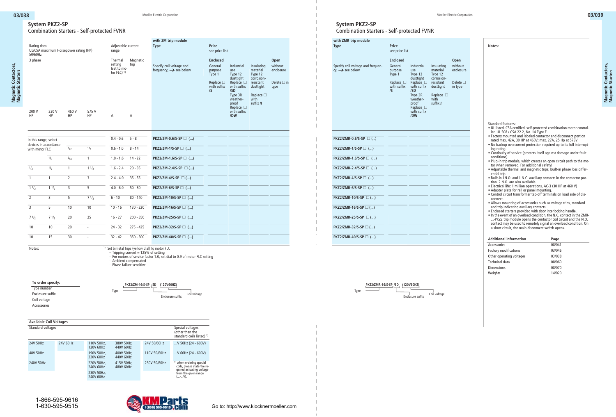**Magnetic Contactors, Magnetic Starters**

Magnetic Contactors,<br>Magnetic Starters

## **System PKZ2-SP** Combination Starters - Self-protected FVNR

|                                            |                                       |                                       |                          |                                                                |                                                                                              | with ZM trip module                                            |                                                                                                |                                                                                                   |                                                                                                 |                                                                                                |                                                             |
|--------------------------------------------|---------------------------------------|---------------------------------------|--------------------------|----------------------------------------------------------------|----------------------------------------------------------------------------------------------|----------------------------------------------------------------|------------------------------------------------------------------------------------------------|---------------------------------------------------------------------------------------------------|-------------------------------------------------------------------------------------------------|------------------------------------------------------------------------------------------------|-------------------------------------------------------------|
| Rating data<br>50/60Hz                     |                                       | UL/CSA maximum Horsepower rating (HP) |                          | Adjustable current<br>range                                    |                                                                                              | <b>Type</b>                                                    |                                                                                                | Price<br>see price list                                                                           |                                                                                                 |                                                                                                |                                                             |
| 3 phase                                    |                                       |                                       |                          | Thermal<br>setting<br>(set to mo-<br>tor FLC $)$ <sup>1)</sup> | Magnetic<br>trip                                                                             | Specify coil voltage and<br>frequency, $\rightarrow$ see below |                                                                                                | <b>Enclosed</b><br>General<br>purpose<br>Type 1<br>Replace $\square$<br>with suffix<br>$\sqrt{S}$ | Industrial<br>use<br>Type 12<br>dusttight<br>Replace $\square$<br>with suffix<br>/SD<br>Type 3R | Insulating<br>material<br>Type 12<br>corrosion-<br>resistant<br>dusttight<br>Replace $\square$ | Open<br>without<br>enclosure<br>Delete $\square$ in<br>type |
| 200 V<br><b>HP</b>                         | 230 V<br><b>HP</b>                    | 460 V<br>HP                           | 575 V<br><b>HP</b>       | A                                                              | Α                                                                                            |                                                                |                                                                                                |                                                                                                   | weather-<br>proof<br>Replace $\square$<br>with suffix<br>/DW                                    | with<br>suffix /I                                                                              |                                                             |
| In this range, select                      | devices in accordance                 |                                       |                          | $0.4 - 0.6$ 5 - 8                                              |                                                                                              |                                                                | PKZ2/ZM-0.6/S-SP □ ()                                                                          |                                                                                                   |                                                                                                 |                                                                                                |                                                             |
| with motor FLC                             |                                       | $\overline{1I_2}$                     | 1/2                      | $0.6 - 1.0$                                                    | $8 - 14$                                                                                     | PKZ2/ZM-1/S-SP □ ()                                            |                                                                                                |                                                                                                   |                                                                                                 |                                                                                                |                                                             |
|                                            | 1/3                                   | $\frac{3}{4}$                         | $\overline{1}$           | $1.0 - 1.6$                                                    | $14 - 22$                                                                                    |                                                                | PKZ2/ZM-1.6/S-SP □ ()                                                                          |                                                                                                   |                                                                                                 |                                                                                                |                                                             |
| $\overline{\frac{1}{2}}$                   | 1/2                                   | $\overline{1}$                        | $1 \frac{1}{2}$          | $1.6 - 2.4$                                                    | $20 - 35$                                                                                    |                                                                | PKZ2/ZM-2.4/S-SP □ ()                                                                          |                                                                                                   |                                                                                                 |                                                                                                |                                                             |
| $\overline{1}$                             | $\mathbf{1}$                          | $\overline{2}$                        | $\overline{3}$           | $2.4 - 4.0$                                                    | $35 - 55$                                                                                    | PKZ2/ZM-4/S-SP □ ()                                            |                                                                                                |                                                                                                   |                                                                                                 |                                                                                                |                                                             |
| $1 \frac{1}{2}$                            | $1 \frac{1}{2}$                       | $\overline{3}$                        | 5                        | $4.0 - 6.0$                                                    | $50 - 80$                                                                                    | PKZ2/ZM-6/S-SP □ ()                                            |                                                                                                |                                                                                                   |                                                                                                 |                                                                                                |                                                             |
| $\overline{2}$                             | $\overline{3}$                        | 5                                     | 71/2                     | $6 - 10$                                                       | $80 - 140$                                                                                   |                                                                | PKZ2/ZM-10/S-SP □ ()                                                                           |                                                                                                   |                                                                                                 |                                                                                                |                                                             |
|                                            | 5                                     | 10                                    | 10                       | $10 - 16$                                                      | 130 - 220                                                                                    |                                                                | PKZ2/ZM-16/S-SP □ ()                                                                           |                                                                                                   |                                                                                                 |                                                                                                |                                                             |
| $7 \frac{1}{2}$                            | $7 \frac{1}{2}$                       | 20                                    | 25                       | $16 - 27$                                                      | $200 - 350$                                                                                  |                                                                | PKZ2/ZM-25/S-SP □ ()                                                                           |                                                                                                   |                                                                                                 |                                                                                                |                                                             |
| 10                                         | 10                                    | 20                                    | $\sim$                   | $24 - 32$                                                      | $275 - 425$                                                                                  |                                                                | PKZ2/ZM-32/S-SP □ ()                                                                           |                                                                                                   |                                                                                                 |                                                                                                |                                                             |
| 10                                         | 15                                    | 30                                    | $\overline{\phantom{a}}$ | $32 - 42$                                                      | $350 - 500$                                                                                  |                                                                | PKZ2/ZM-40/S-SP □ ()                                                                           |                                                                                                   |                                                                                                 |                                                                                                |                                                             |
| Notes:                                     |                                       |                                       |                          |                                                                | $-$ Tripping current = 125% of setting<br>- Ambient compensated<br>- Phase failure sensitive | <sup>1)</sup> Set bimetal trips (yellow dial) to motor FLC     | - For motors of service factor 1.0, set dial to 0.9 of motor FLC setting                       |                                                                                                   |                                                                                                 |                                                                                                |                                                             |
| Type number<br>Coil voltage<br>Accessories | To order specify:<br>Enclosure suffix |                                       |                          | Type                                                           |                                                                                              | PKZ2/ZM-16/S-SP /SD (120V60HZ)<br>Enclosure suffix             | Coil voltage                                                                                   |                                                                                                   |                                                                                                 |                                                                                                |                                                             |
|                                            | <b>Available Coil Voltages</b>        |                                       |                          |                                                                |                                                                                              |                                                                |                                                                                                |                                                                                                   |                                                                                                 |                                                                                                |                                                             |
| Standard voltages                          |                                       |                                       |                          |                                                                |                                                                                              |                                                                | Special voltages<br>(other than the<br>standard coils listed) 1)                               |                                                                                                   |                                                                                                 |                                                                                                |                                                             |
| 24V 50Hz                                   |                                       | 24V 60Hz                              | 110V 50Hz,<br>120V 60Hz  | 380V 50Hz,<br>440V 60Hz                                        |                                                                                              | 24V 50/60Hz                                                    | V 50Hz (24 - 600V)                                                                             |                                                                                                   |                                                                                                 |                                                                                                |                                                             |
| 48V 50Hz                                   |                                       |                                       | 190V 50Hz,<br>220V 60Hz  | 400V 50Hz,<br>440V 60Hz                                        |                                                                                              | 110V 50/60Hz                                                   | V 60Hz (24 - 600V)                                                                             |                                                                                                   |                                                                                                 |                                                                                                |                                                             |
| 240V 50Hz                                  |                                       |                                       | 220V 50Hz,<br>240V 60Hz  | 415V 50Hz,<br>480V 60Hz                                        |                                                                                              | 230V 50/60Hz                                                   | <sup>1)</sup> when ordering special<br>coils, please state the re-<br>quired actuating voltage |                                                                                                   |                                                                                                 |                                                                                                |                                                             |
|                                            |                                       |                                       | 230V 50Hz,<br>240V 60Hz  |                                                                |                                                                                              |                                                                | from the given range<br>$(-V).$                                                                |                                                                                                   |                                                                                                 |                                                                                                |                                                             |

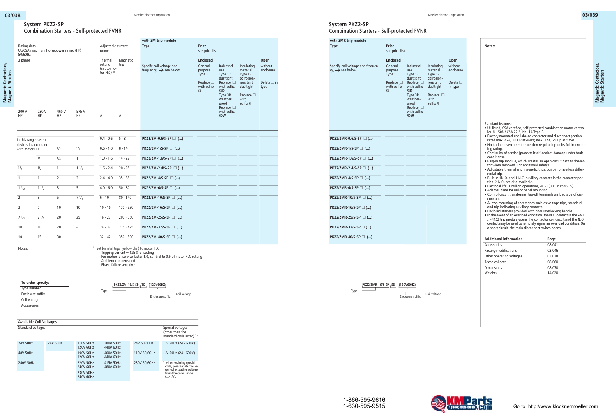## **System PKZ2-SP** Combination Starters - Self-protected FVNR

|                                                                                                                                                                    | with ZMR trip module                                             |
|--------------------------------------------------------------------------------------------------------------------------------------------------------------------|------------------------------------------------------------------|
| Price<br>see price list                                                                                                                                            | <b>Type</b>                                                      |
| <b>Enclosed</b><br>Open                                                                                                                                            |                                                                  |
| General<br>without<br>Industrial<br>Insulating<br>enclosure<br>material<br>purpose<br>Type 1<br>use<br>Type 12                                                     | Specify coil voltage and frequen-<br>cy, $\rightarrow$ see below |
| Fype 1 $\frac{1}{2}$<br>Type 12<br>Replace $\Box$ Replace $\Box$<br>With suffix with suffix<br>corrosion-<br>resistant<br>dusttight<br>Delete $\square$<br>in type |                                                                  |
| /SD<br>$\sqrt{S}$<br>Type 3R<br>Replace $\square$<br>with<br>weather-                                                                                              |                                                                  |
| suffix /I<br>proof<br>Replace $\square$                                                                                                                            |                                                                  |
| with suffix<br><b>/DW</b>                                                                                                                                          |                                                                  |
|                                                                                                                                                                    |                                                                  |
|                                                                                                                                                                    | $PKZ2/ZMR-0.6/S-SP \square$ ()                                   |
|                                                                                                                                                                    | PKZ2/ZMR-1/S-SP □ ()                                             |
|                                                                                                                                                                    | $PKZ2/ZMR-1.6/5-SP \square$ ()                                   |
|                                                                                                                                                                    | $PKZ2/ZMR-2.4/5-SP \square$ ()                                   |
|                                                                                                                                                                    | $PKZ2/ZMR-4/S-SP \square$ ()                                     |
|                                                                                                                                                                    | $PKZ2/ZMR-6/5-SP \square$ ()                                     |
|                                                                                                                                                                    | PKZ2/ZMR-10/S-SP □ ()                                            |
|                                                                                                                                                                    | $PKZ2/ZMR-16/S-SP \square$ ()                                    |
|                                                                                                                                                                    | PKZ2/ZMR-25/S-SP $\square$ ()                                    |
|                                                                                                                                                                    | PKZ2/ZMR-32/S-SP □ ()                                            |
|                                                                                                                                                                    | PKZ2/ZMR-40/S-SP $\Box$ ()                                       |

**PKZ2/ZMR-16/S-SP /SD (120V60HZ) Enclosure suffix** Coil voltage Type

**Notes:** Magnetic Contactors,<br>Magnetic Starters **Magnetic Contactors,** Standard features:

- UL listed, CSA certified, self-protected combination motor controller. UL 508 / CSA 22.2, No. 14 Type E.
- Factory mounted and labeled contactor and disconnect portion rated max. 42A, 30 HP at 460V; max. 27A, 25 Hp at 575V.
- No backup overcurrent protection required up to its full interrupting rating.
- Continuity of service (protects itself against damage under fault conditions).
- Plug-in trip module, which creates an open circuit path to the motor when removed. For additional safety!
- Adjustable thermal and magnetic trips; built-in phase loss differential trip.
- Built-in 1N.O. and 1 N.C. auxiliary contacts in the contactor portion. 2 N.O. are also available.
- Electrical life: 1 million operations, AC-3 (30 HP at 460 V)
- Adapter plate for rail or panel mounting.
- Control circuit transformer tap-off terminals on load side of disconnect.
- Allows mounting of accessories such as voltage trips, standard and trip indicating auxiliary contacts.
- Enclosed starters provided with door interlocking handle. • In the event of an overload condition, the N.C. contact in the ZMR- ...-PKZ2 trip module opens the contactor coil circuit and the N.O. contact may be used to remotely signal an overload condition. On a short circuit, the main disconnect switch opens.

| <b>Additional information</b> | Page   |
|-------------------------------|--------|
| Accessories                   | 08/041 |
| <b>Factory modifications</b>  | 03/046 |
| Other operating voltages      | 03/038 |
| Technical data                | 08/060 |
| <b>Dimensions</b>             | 08/070 |
| Weights                       | 14/020 |



**Magnetic Starters**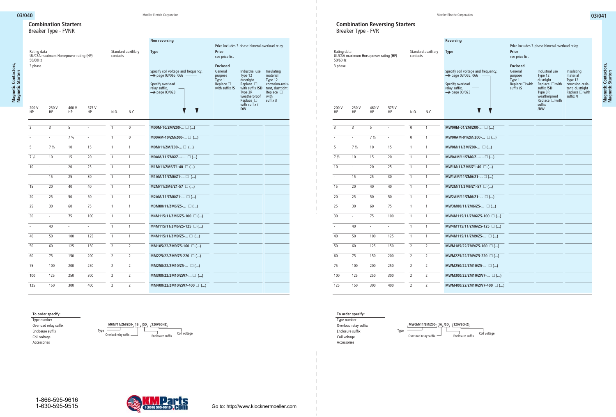## **Combination Starters** Breaker Type - FVNR

| Rating data<br>50/60Hz<br>3 phase | UL/CSA maximum Horsepower rating (HP) |                |                    | contacts       | Standard auxililary | Non reversing<br><b>Type</b><br>Specify coil voltage and frequency,                              | Price<br>see price list<br><b>Enclosed</b><br>General    | Price includes 3-phase bimetal overload relay<br>Industrial use Insulating                                |                                                                                                                      |
|-----------------------------------|---------------------------------------|----------------|--------------------|----------------|---------------------|--------------------------------------------------------------------------------------------------|----------------------------------------------------------|-----------------------------------------------------------------------------------------------------------|----------------------------------------------------------------------------------------------------------------------|
|                                   |                                       |                |                    |                |                     | $\rightarrow$ page 03/065, 066<br>Specify overload<br>relay suffix,<br>$\rightarrow$ page 03/023 | purpose<br>Type 1<br>Replace □<br>with suffix / <b>S</b> | Type 12<br>dusttight<br>Replace $\square$<br>Type 3R<br>weatherproof<br>$Replace$ $\Box$<br>with suffix / | material<br>Type 12<br>corrosion-resis-<br>with suffix /SD tant, dusttight<br>Replace $\square$<br>with<br>suffix /I |
| 200 V<br>HP                       | 230 V<br><b>HP</b>                    | 460 V<br>HP    | 575 V<br><b>HP</b> | N.O.           | N.C.                |                                                                                                  |                                                          | <b>DW</b>                                                                                                 |                                                                                                                      |
| $\overline{3}$                    | $\overline{3}$                        | - 5            | $\sim$             | $\overline{1}$ | $\mathbf{0}$        | $M00M-10/ZM/Z00 \Box$ ()                                                                         |                                                          |                                                                                                           |                                                                                                                      |
|                                   | $\sim$                                | $7\frac{1}{2}$ | $\sim$             | -1             | $\overline{0}$      | $MOOAM-10/ZM/ZO0 \Box$ ()                                                                        |                                                          |                                                                                                           |                                                                                                                      |
| 5                                 | $7\frac{1}{2}$                        | 10             | 15                 | $\overline{1}$ | $\overline{1}$      | $M0M/11/ZM/Z00 \square$ ()                                                                       |                                                          |                                                                                                           |                                                                                                                      |
| $7\frac{1}{2}$                    | 10                                    | 15             | 20                 | $\overline{1}$ |                     | $MOAM/11/ZM6/Z$ $\Box$ ()                                                                        |                                                          |                                                                                                           |                                                                                                                      |
| 10                                | $\sim$                                | 20             | 25                 | $\overline{1}$ |                     | $M1M/11/ZM6/Z1-40$ )                                                                             |                                                          |                                                                                                           |                                                                                                                      |
| $\sim$                            | 15                                    | 25             | 30                 | $\overline{1}$ | $\overline{1}$      | M1AM/11/ZM6/Z1- □ ()                                                                             |                                                          |                                                                                                           |                                                                                                                      |
| 15                                | 20                                    | 40             | 40                 | $\overline{1}$ | $\overline{1}$      | $M2M/11/ZM6/Z1-57$ $\Box$ ()                                                                     |                                                          |                                                                                                           |                                                                                                                      |
| 20                                | 25                                    | 50             | 50                 | $\overline{1}$ | $\overline{1}$      | M2AM/11/ZM6/Z1- □ ()                                                                             |                                                          |                                                                                                           |                                                                                                                      |
| 25                                | 30                                    | 60             | 75                 | $\overline{1}$ | $\overline{1}$      | M3M80/11/ZM6/Z5- □ ()                                                                            |                                                          |                                                                                                           |                                                                                                                      |
| 30                                | $\sim$                                | 75             | 100                | $\mathbf{1}$   |                     | M4M115/11/ZM6/Z5-100 $\Box$ ()                                                                   |                                                          |                                                                                                           |                                                                                                                      |
| $\sim$                            | 40                                    | $\sim$         | $\sim$             | $\overline{1}$ |                     | $M4M115/11/ZM6/Z5-125$ $\Box$ ()                                                                 |                                                          |                                                                                                           |                                                                                                                      |
| 40                                | 50                                    | 100            | 125                | $\overline{1}$ |                     | $M4M115/11/ZM9/Z5$ ()                                                                            |                                                          |                                                                                                           |                                                                                                                      |
| $\overline{50}$                   | 60                                    | 125            | 150                | $\overline{2}$ | 2                   | MM185/22/ZM9/Z5-160 $\Box$ ()                                                                    |                                                          |                                                                                                           |                                                                                                                      |
| 60                                | 75                                    | 150            | 200                | $\overline{2}$ | $\overline{2}$      | MM225/22/ZM9/Z5-220 □ ()                                                                         |                                                          |                                                                                                           |                                                                                                                      |
| 75                                | 100                                   | 200            | 250                | $\overline{2}$ | 2                   | MM250/22/ZM10/Z5- $\square$ ()                                                                   |                                                          |                                                                                                           |                                                                                                                      |
| $\frac{100}{100}$                 | 125                                   | 250            | 300                | $\overline{2}$ | $\overline{2}$      | MM300/22/ZM10/ZW7- □ ()                                                                          |                                                          |                                                                                                           |                                                                                                                      |
| $\overline{125}$                  | 150                                   | 300            | 400                | $\overline{2}$ | $\overline{2}$      | MM400/22/ZM10/ZW7-400 $\Box$ ()                                                                  |                                                          |                                                                                                           |                                                                                                                      |

**To order specify:**

Type number Overload relay suffix Enclosure suffix Coil voltage Accessories





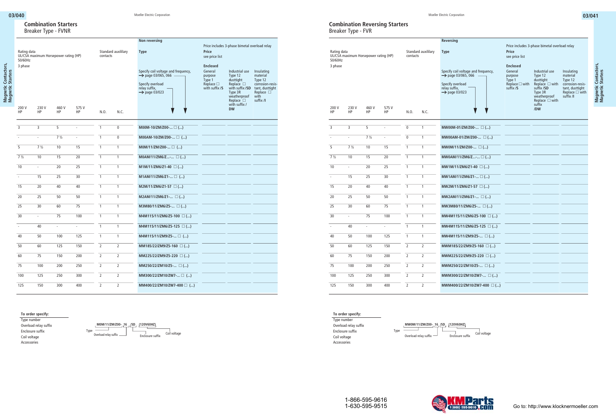## **Combination Reversing Starters** Breaker Type - FVR

| Rating data<br>50/60Hz<br>3 phase |                | UL/CSA maximum Horsepower rating (HP) |             | contacts       | Standard auxililary | <b>Reversing</b><br><b>Type</b><br>Specify coil voltage and frequency,<br>$\rightarrow$ page 03/065, 066<br>Specify overload<br>relay suffix, | Price<br>see price list<br>Enclosed<br>General<br>purpose<br>Type 1<br>Replace □ with | Price includes 3-phase bimetal overload relay<br>Industrial use<br>Type 12<br>dusttight<br>Replace $\Box$ with | Insulating<br>material<br>Type 12<br>corrosion-resis-          |
|-----------------------------------|----------------|---------------------------------------|-------------|----------------|---------------------|-----------------------------------------------------------------------------------------------------------------------------------------------|---------------------------------------------------------------------------------------|----------------------------------------------------------------------------------------------------------------|----------------------------------------------------------------|
| 200 V<br>HP                       | 230 V<br>HP    | 460 V<br>HP                           | 575 V<br>HP | N.O.           | N.C.                | $\rightarrow$ page 03/023                                                                                                                     | suffix /S                                                                             | suffix /SD<br>Type 3R<br>weatherproof<br>$Replace' \square$ with<br>suffix<br>/DW                              | $t$ and $t$ , dusttight<br>Replace $\square$ with<br>suffix /I |
| $\overline{3}$                    | $\overline{3}$ | 5                                     | $\sim$      | $\overline{0}$ | $\overline{1}$      | MW00M-01/ZM/Z00- $\square$ ()                                                                                                                 |                                                                                       |                                                                                                                |                                                                |
| $\sim$                            | $\sim$         | $7\frac{1}{2}$                        | $\sim$ $-$  | $\overline{0}$ | $\overline{1}$      | MW00AM-01/ZM/Z00- □ ()                                                                                                                        |                                                                                       |                                                                                                                |                                                                |
| $\overline{5}$                    | $7\frac{1}{2}$ | 10                                    | 15          | $\overline{1}$ | $\overline{1}$      | MW0M/11/ZM/Z00- $\square$ ()                                                                                                                  |                                                                                       |                                                                                                                |                                                                |
| $7\frac{1}{2}$                    | 10             | 15                                    | 20          | $\overline{1}$ | $\overline{1}$      | MW0AM/11/ZM6/Z- □ ()                                                                                                                          |                                                                                       |                                                                                                                |                                                                |
| 10                                | $\sim$         | 20                                    | 25          | $\overline{1}$ | $\overline{1}$      | $MW1M/11/ZM6/Z1-40$ $\Box$ ()                                                                                                                 |                                                                                       |                                                                                                                |                                                                |
| $\sim$                            | 15             | 25                                    | 30          | $\overline{1}$ | $\overline{1}$      | $MW1AM/11/ZM6/Z1$ $\Box$ ()                                                                                                                   |                                                                                       |                                                                                                                |                                                                |
| 15                                | 20             | 40                                    | 40          | $\overline{1}$ | $\overline{1}$      | MW2M/11/ZM6/Z1-57 $\square$ ()                                                                                                                |                                                                                       |                                                                                                                |                                                                |
|                                   |                |                                       |             |                |                     |                                                                                                                                               |                                                                                       |                                                                                                                |                                                                |
| 20                                | 25             | 50                                    | 50          | $\overline{1}$ | $\overline{1}$      | MW2AM/11/ZM6/Z1- □ ()                                                                                                                         |                                                                                       |                                                                                                                |                                                                |
| $\overline{25}$                   | 30             | 60                                    | 75          | $\overline{1}$ | $\overline{1}$      | MW3M80/11/ZM6/Z5- $\square$ ()                                                                                                                |                                                                                       |                                                                                                                |                                                                |
| $\overline{30}$                   | $\sim$         | 75                                    | 100         | $\overline{1}$ | $\overline{1}$      | MW4M115/11/ZM6/Z5-100 $\Box$ ()                                                                                                               |                                                                                       |                                                                                                                |                                                                |
| $\sim$                            | 40             | $\sim$                                | $\sim$      | $\overline{1}$ | $\overline{1}$      | MW4M115/11/ZM6/Z5-125 $\Box$ ()                                                                                                               |                                                                                       |                                                                                                                |                                                                |
| 40                                | 50             | 100                                   | 125         | $\mathbf{1}$   | $\overline{1}$      | MW4M115/11/ZM9/Z5- $\square$ ()                                                                                                               |                                                                                       |                                                                                                                |                                                                |
| 50                                | 60             | 125                                   | 150         | $\overline{2}$ | $\overline{2}$      | MWM185/22/ZM9/Z5-160 $\Box$ ()                                                                                                                |                                                                                       |                                                                                                                |                                                                |
| 60                                | 75             | 150                                   | 200         | $\overline{2}$ | $\overline{2}$      | MWM225/22/ZM9/Z5-220 $\Box$ ()                                                                                                                |                                                                                       |                                                                                                                |                                                                |
| 75                                | 100            | 200                                   | 250         | $\overline{2}$ | $\overline{2}$      | MWM250/22/ZM10/Z5- $\square$ ()                                                                                                               |                                                                                       |                                                                                                                |                                                                |
| 100                               | 125            | 250                                   | 300         | 2              | $\overline{2}$      | MWM300/22/ZM10/ZW7- □ ()                                                                                                                      |                                                                                       |                                                                                                                |                                                                |
| 125                               | 150            | 300                                   | 400         | $\overline{2}$ | $\overline{2}$      | MWM400/22/ZM10/ZW7-400 $\square$ ()                                                                                                           |                                                                                       |                                                                                                                |                                                                |
|                                   |                |                                       |             |                |                     |                                                                                                                                               |                                                                                       |                                                                                                                |                                                                |



Type number Overload relay suffix Enclosure suffix Coil voltage Accessories







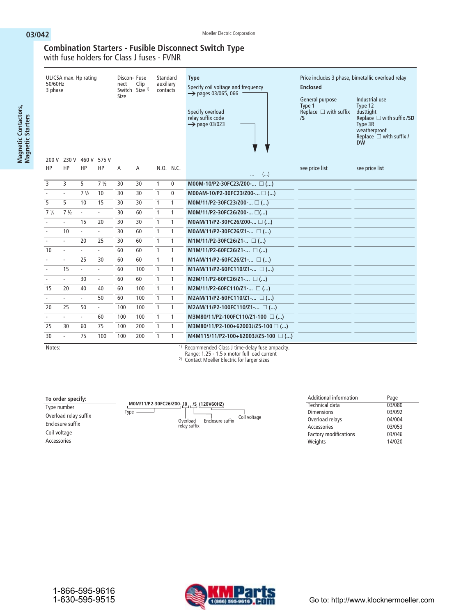**Magnetic Contactors, Magnetic Starters**

Magnetic Contactors,<br>Magnetic Starters

# **Combination Starters - Fusible Disconnect Switch Type**

with fuse holders for Class J fuses - FVNR

| 230 V 460 V 575 V<br>200 V                                                                                                                           | Price includes 3 phase, bimetallic overload relay<br>Replace $\Box$ with suffix <b>/SD</b><br>Replace $\Box$ with suffix / |
|------------------------------------------------------------------------------------------------------------------------------------------------------|----------------------------------------------------------------------------------------------------------------------------|
| HP<br>HP<br>HP<br>N.O. N.C.<br>HP<br>Α<br>see price list<br>see price list<br>Α<br>()<br>                                                            |                                                                                                                            |
| 3<br>$\overline{3}$<br>5<br>$\mathbf{1}$<br>7 <sup>1</sup> / <sub>2</sub><br>30<br>$\mathbf 0$<br>M00M-10/P2-30FC23/Z00- □ ()<br>30                  |                                                                                                                            |
| $\mathbf{1}$<br>$7\frac{1}{2}$<br>$\mathbf{0}$<br>M00AM-10/P2-30FC23/Z00- □ ()<br>10<br>30<br>30<br>$\overline{\phantom{a}}$<br>÷.                   |                                                                                                                            |
| 5<br>5<br>$\mathbf{1}$<br>10<br>15<br>30<br>$\mathbf{1}$<br>30<br>M0M/11/P2-30FC23/Z00- $\Box$ ()                                                    |                                                                                                                            |
| $\mathbf{1}$<br>$7 \frac{1}{2}$<br>$7\frac{1}{2}$<br>60<br>1<br>M0M/11/P2-30FC26/Z00- □()<br>30<br>$\mathcal{L}_{\mathcal{A}}$<br>$\sim$             |                                                                                                                            |
| $\mathbf{1}$<br>15<br>30<br>30<br>$\mathbf{1}$<br>20<br>M0AM/11/P2-30FC26/Z00- $\square$ ()<br>÷.<br>٠                                               |                                                                                                                            |
| $\mathbf{1}$<br>10<br>60<br>$\mathbf{1}$<br>÷.<br>30<br>MOAM/11/P2-30FC26/Z1- $\Box$ ()<br>$\sim$<br>$\sim$                                          |                                                                                                                            |
| $\mathbf{1}$<br>20<br>25<br>30<br>60<br>1<br>M1M/11/P2-30FC26/Z1- $\Box$ ()<br>÷.<br>$\sim$                                                          |                                                                                                                            |
| $\mathbf{1}$<br>10<br>60<br>$\mathbf{1}$<br>M1M/11/P2-60FC26/Z1- $\Box$ ()<br>60<br>ä,<br>$\mathcal{L}$<br>$\sim$                                    |                                                                                                                            |
| $\mathbf{1}$<br>25<br>$\mathbf{1}$<br>M1AM/11/P2-60FC26/Z1- $\Box$ ()<br>30<br>60<br>60<br>$\overline{\phantom{a}}$<br>$\blacksquare$                |                                                                                                                            |
| $\mathbf{1}$<br>15<br>100<br>$\mathbf{1}$<br>60<br>M1AM/11/P2-60FC110/Z1- $\Box$ ()<br>$\sim$<br>$\sim$<br>$\sim$                                    |                                                                                                                            |
| $\mathbf{1}$<br>30<br>60<br>$\mathbf{1}$<br>60<br>$M2M/11/P2-60FC26/Z1$ ()<br>÷.<br>$\sim$<br>$\overline{\phantom{a}}$                               |                                                                                                                            |
| $\mathbf{1}$<br>15<br>100<br>$\mathbf{1}$<br>20<br>40<br>40<br>60<br>M2M/11/P2-60FC110/Z1- $\Box$ ()                                                 |                                                                                                                            |
| 100<br>$\mathbf{1}$<br>$\mathbf{1}$<br>50<br>M2AM/11/P2-60FC110/Z1- $\Box$ ()<br>60<br>÷.<br>$\mathcal{L}_{\mathcal{A}}$<br>$\overline{\phantom{a}}$ |                                                                                                                            |
| $\mathbf{1}$<br>100<br>$\mathbf{1}$<br>M2AM/11/P2-100FC110/Z1- □ ()<br>20<br>25<br>50<br>100<br>$\sim$                                               |                                                                                                                            |
| $\overline{1}$<br>$\mathbf{1}$<br>100<br>60<br>100<br>M3M80/11/P2-100FC110/Z1-100 $\Box$ ()<br>÷.<br>÷.<br>٠                                         |                                                                                                                            |
| $\mathbf{1}$<br>25<br>75<br>100<br>200<br>$\mathbf{1}$<br>30<br>60<br>M3M80/11/P2-100+62003J/Z5-100 $\square$ ()                                     |                                                                                                                            |
| $\mathbf{1}$<br>75<br>100<br>200<br>$\mathbf{1}$<br>30<br>100<br>M4M115/11/P2-100+62003J/Z5-100 $\Box$ ()<br>÷.<br>11 <sub>m</sub>                   |                                                                                                                            |

Notes: **1) Recommended Class J time-delay fuse ampacity.**

**Range: 1.25 - 1.5 x motor full load current**

**2) Contact Moeller Electric for larger sizes**

## **To order specify:**

Type number Overload relay suffix Enclosure suffix Coil voltage Accessories

| M0M/11/P2-30FC26/Z00-10 /S (120V60HZ) |                          |                  |              |
|---------------------------------------|--------------------------|------------------|--------------|
| Type                                  | Overload<br>relay suffix | Enclosure suffix | Coil voltage |

| Additional information       | Page   |
|------------------------------|--------|
| Technical data               | 03/080 |
| <b>Dimensions</b>            | 03/092 |
| Overload relays              | 04/004 |
| Accessories                  | 03/053 |
| <b>Factory modifications</b> | 03/046 |
| Weights                      | 14/020 |